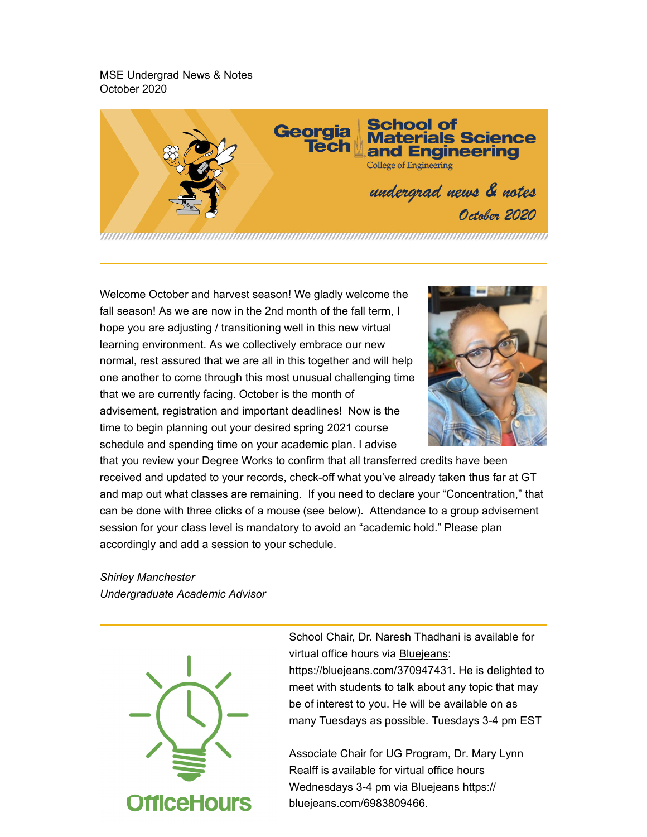MSE Undergrad News & Notes October 2020



Welcome October and harvest season! We gladly welcome the fall season! As we are now in the 2nd month of the fall term, I hope you are adjusting / transitioning well in this new virtual learning environment. As we collectively embrace our new normal, rest assured that we are all in this together and will help one another to come through this most unusual challenging time that we are currently facing. October is the month of advisement, registration and important deadlines! Now is the time to begin planning out your desired spring 2021 course schedule and spending time on your academic plan. I advise



that you review your Degree Works to confirm that all transferred credits have been received and updated to your records, check-off what you've already taken thus far at GT and map out what classes are remaining. If you need to declare your "Concentration," that can be done with three clicks of a mouse (see below). Attendance to a group advisement session for your class level is mandatory to avoid an "academic hold." Please plan accordingly and add a session to your schedule.

*Shirley Manchester Undergraduate Academic Advisor*



School Chair, Dr. Naresh Thadhani is available for virtual office hours via **Bluejeans:** https://bluejeans.com/370947431. He is delighted to meet with students to talk about any topic that may be of interest to you. He will be available on as many Tuesdays as possible. Tuesdays 3-4 pm EST

Associate Chair for UG Program, Dr. Mary Lynn Realff is available for virtual office hours Wednesdays 3-4 pm via Bluejeans https:// bluejeans.com/6983809466.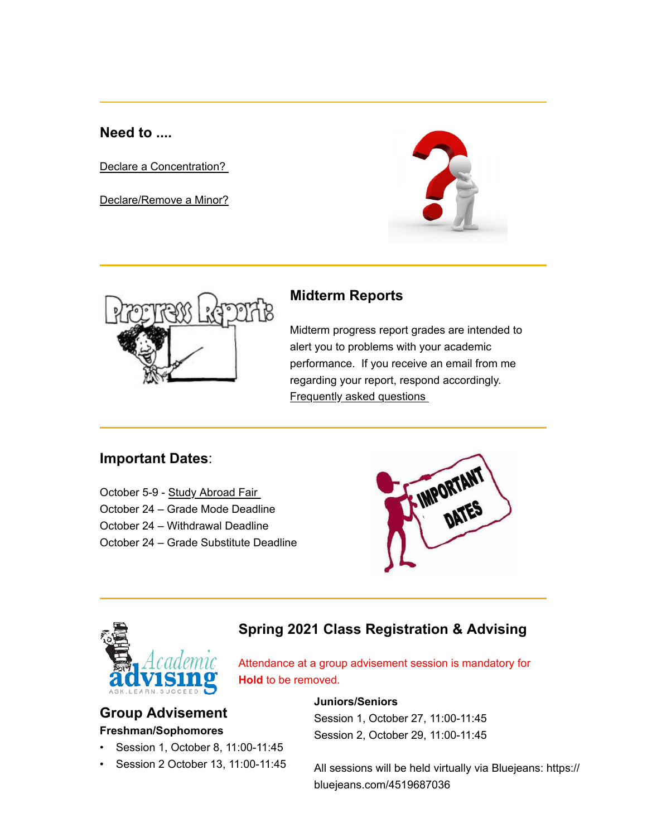**Need to ....**

Declare a Concentration?

Declare/Remove a Minor?





### **Midterm Reports**

Midterm progress report grades are intended to alert you to problems with your academic performance. If you receive an email from me regarding your report, respond accordingly. Frequently asked questions

## **Important Dates**:

October 5-9 - Study Abroad Fair October 24 – Grade Mode Deadline October 24 – Withdrawal Deadline October 24 – Grade Substitute Deadline

IMPORTAN



## **Spring 2021 Class Registration & Advising**

Attendance at a group advisement session is mandatory for **Hold** to be removed.

### **Group Advisement Freshman/Sophomores**

- Session 1, October 8, 11:00-11:45
- Session 2 October 13, 11:00-11:45

#### **Juniors/Seniors**

Session 1, October 27, 11:00-11:45 Session 2, October 29, 11:00-11:45

All sessions will be held virtually via Bluejeans: https:// bluejeans.com/4519687036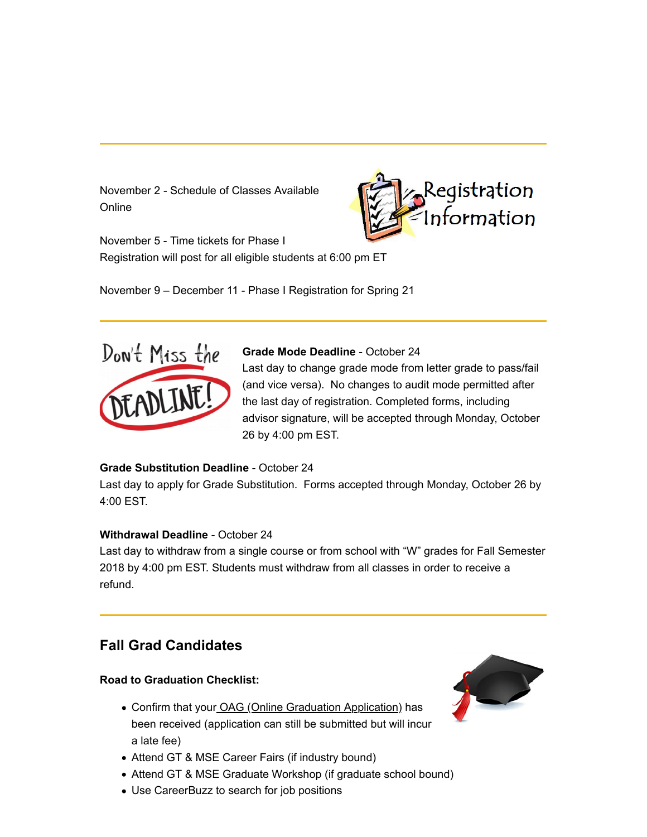November 2 - Schedule of Classes Available **Online** 



November 5 - Time tickets for Phase I Registration will post for all eligible students at 6:00 pm ET

November 9 – December 11 - Phase I Registration for Spring 21



#### **Grade Mode Deadline** - October 24

Last day to change grade mode from letter grade to pass/fail (and vice versa). No changes to audit mode permitted after the last day of registration. Completed forms, including advisor signature, will be accepted through Monday, October 26 by 4:00 pm EST.

#### **Grade Substitution Deadline** - October 24

Last day to apply for Grade Substitution. Forms accepted through Monday, October 26 by 4:00 EST.

#### **Withdrawal Deadline** - October 24

Last day to withdraw from a single course or from school with "W" grades for Fall Semester 2018 by 4:00 pm EST. Students must withdraw from all classes in order to receive a refund.

## **Fall Grad Candidates**

#### **Road to Graduation Checklist:**

- Confirm that your OAG (Online Graduation Application) has been received (application can still be submitted but will incur a late fee)
- Attend GT & MSE Career Fairs (if industry bound)
- Attend GT & MSE Graduate Workshop (if graduate school bound)
- Use CareerBuzz to search for job positions

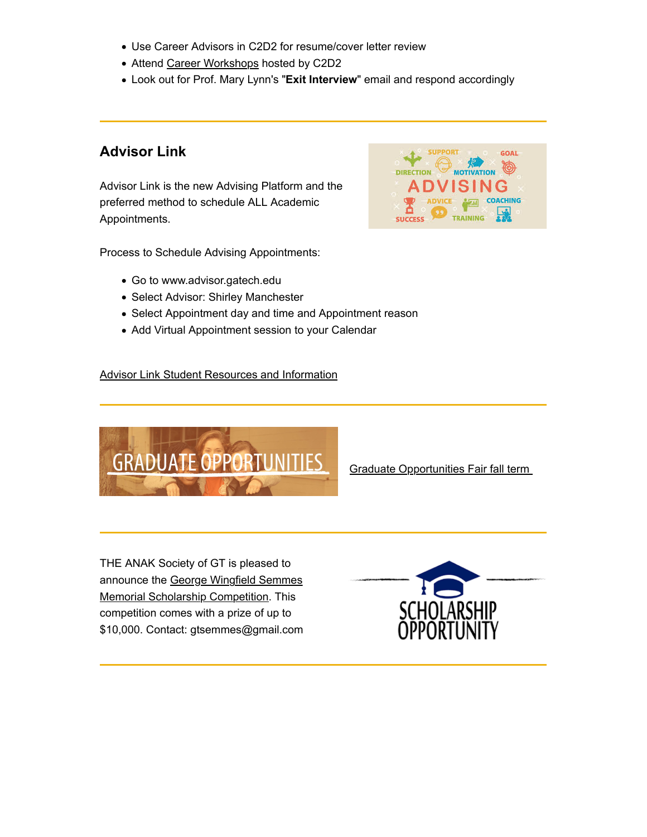- Use Career Advisors in C2D2 for resume/cover letter review
- Attend Career Workshops hosted by C2D2
- Look out for Prof. Mary Lynn's "**Exit Interview**" email and respond accordingly

## **Advisor Link**

Advisor Link is the new Advising Platform and the preferred method to schedule ALL Academic Appointments.



Process to Schedule Advising Appointments:

- Go to www.advisor.gatech.edu
- Select Advisor: Shirley Manchester
- Select Appointment day and time and Appointment reason
- Add Virtual Appointment session to your Calendar

#### Advisor Link Student Resources and Information



Graduate Opportunities Fair fall term

THE ANAK Society of GT is pleased to announce the George Wingfield Semmes Memorial Scholarship Competition. This competition comes with a prize of up to \$10,000. Contact: gtsemmes@gmail.com

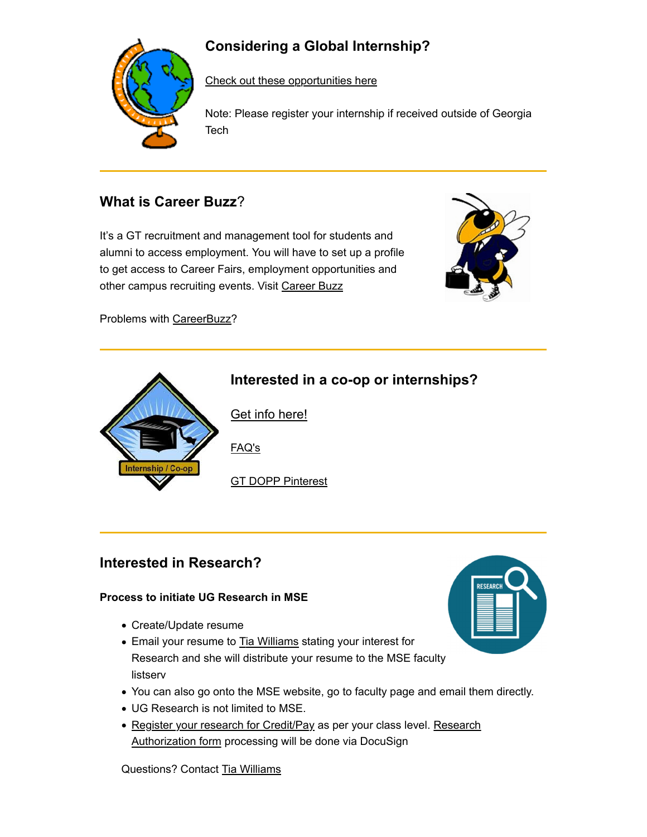# **Considering a Global Internship?**



Check out these opportunities here

Note: Please register your internship if received outside of Georgia Tech

## **What is Career Buzz**?

It's a GT recruitment and management tool for students and alumni to access employment. You will have to set up a profile to get access to Career Fairs, employment opportunities and other campus recruiting events. Visit Career Buzz



Problems with CareerBuzz?



## **Interested in Research?**

#### **Process to initiate UG Research in MSE**

- Create/Update resume
- Email your resume to Tia Williams stating your interest for Research and she will distribute your resume to the MSE faculty listserv
- You can also go onto the MSE website, go to faculty page and email them directly.
- UG Research is not limited to MSE.
- Register your research for Credit/Pay as per your class level. Research Authorization form processing will be done via DocuSign

Questions? Contact Tia Williams

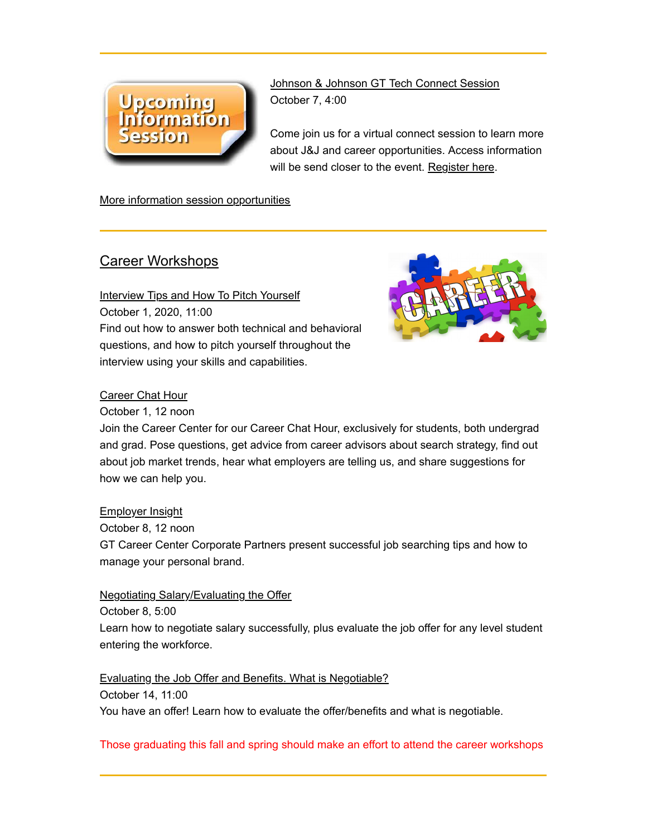

Johnson & Johnson GT Tech Connect Session October 7, 4:00

Come join us for a virtual connect session to learn more about J&J and career opportunities. Access information will be send closer to the event. Register here.

More information session opportunities

### Career Workshops

Interview Tips and How To Pitch Yourself October 1, 2020, 11:00 Find out how to answer both technical and behavioral questions, and how to pitch yourself throughout the interview using your skills and capabilities.



#### **Career Chat Hour**

October 1, 12 noon

Join the Career Center for our Career Chat Hour, exclusively for students, both undergrad and grad. Pose questions, get advice from career advisors about search strategy, find out about job market trends, hear what employers are telling us, and share suggestions for how we can help you.

#### Employer Insight

October 8, 12 noon GT Career Center Corporate Partners present successful job searching tips and how to manage your personal brand.

Negotiating Salary/Evaluating the Offer

October 8, 5:00

Learn how to negotiate salary successfully, plus evaluate the job offer for any level student entering the workforce.

Evaluating the Job Offer and Benefits. What is Negotiable? October 14, 11:00 You have an offer! Learn how to evaluate the offer/benefits and what is negotiable.

Those graduating this fall and spring should make an effort to attend the career workshops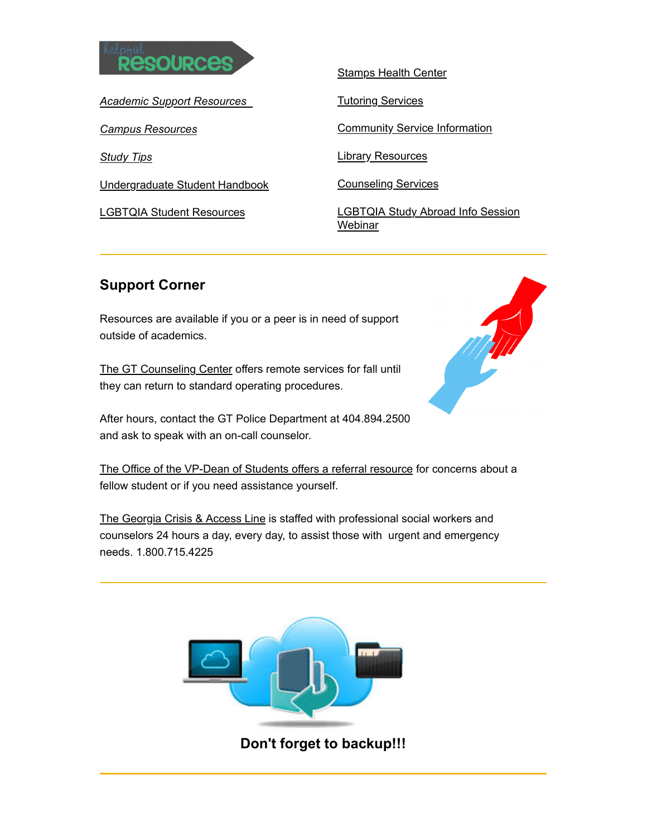

*Academic Support Resources*

*Campus Resources*

*Study Tips*

Undergraduate Student Handbook

LGBTQIA Student Resources

Stamps Health Center

**Tutoring Services** 

**Community Service Information** 

**Library Resources** 

Counseling Services

LGBTQIA Study Abroad Info Session **Webinar** 

## **Support Corner**

Resources are available if you or a peer is in need of support outside of academics.

The GT Counseling Center offers remote services for fall until they can return to standard operating procedures.

After hours, contact the GT Police Department at 404.894.2500 and ask to speak with an on-call counselor.



The Office of the VP-Dean of Students offers a referral resource for concerns about a fellow student or if you need assistance yourself.

The Georgia Crisis & Access Line is staffed with professional social workers and counselors 24 hours a day, every day, to assist those with urgent and emergency needs. 1.800.715.4225



**Don't forget to backup!!!**